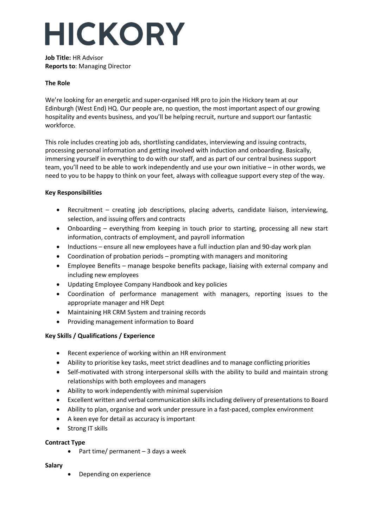# **HICKORY**

**Job Title:** HR Advisor **Reports to**: Managing Director

## **The Role**

We're looking for an energetic and super-organised HR pro to join the Hickory team at our Edinburgh (West End) HQ. Our people are, no question, the most important aspect of our growing hospitality and events business, and you'll be helping recruit, nurture and support our fantastic workforce.

This role includes creating job ads, shortlisting candidates, interviewing and issuing contracts, processing personal information and getting involved with induction and onboarding. Basically, immersing yourself in everything to do with our staff, and as part of our central business support team, you'll need to be able to work independently and use your own initiative – in other words, we need to you to be happy to think on your feet, always with colleague support every step of the way.

## **Key Responsibilities**

- Recruitment creating job descriptions, placing adverts, candidate liaison, interviewing, selection, and issuing offers and contracts
- Onboarding everything from keeping in touch prior to starting, processing all new start information, contracts of employment, and payroll information
- Inductions ensure all new employees have a full induction plan and 90-day work plan
- Coordination of probation periods prompting with managers and monitoring
- Employee Benefits manage bespoke benefits package, liaising with external company and including new employees
- Updating Employee Company Handbook and key policies
- Coordination of performance management with managers, reporting issues to the appropriate manager and HR Dept
- Maintaining HR CRM System and training records
- Providing management information to Board

## **Key Skills / Qualifications / Experience**

- Recent experience of working within an HR environment
- Ability to prioritise key tasks, meet strict deadlines and to manage conflicting priorities
- Self-motivated with strong interpersonal skills with the ability to build and maintain strong relationships with both employees and managers
- Ability to work independently with minimal supervision
- Excellent written and verbal communication skills including delivery of presentations to Board
- Ability to plan, organise and work under pressure in a fast-paced, complex environment
- A keen eye for detail as accuracy is important
- Strong IT skills

## **Contract Type**

• Part time/ permanent – 3 days a week

## **Salary**

• Depending on experience